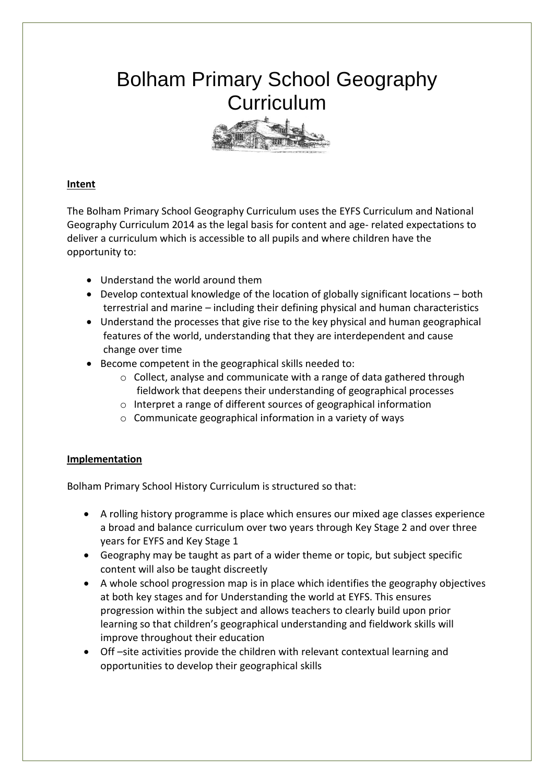## Bolham Primary School Geography **Curriculum**



## **Intent**

The Bolham Primary School Geography Curriculum uses the EYFS Curriculum and National Geography Curriculum 2014 as the legal basis for content and age- related expectations to deliver a curriculum which is accessible to all pupils and where children have the opportunity to:

- Understand the world around them
- Develop contextual knowledge of the location of globally significant locations both terrestrial and marine – including their defining physical and human characteristics
- Understand the processes that give rise to the key physical and human geographical features of the world, understanding that they are interdependent and cause change over time
- Become competent in the geographical skills needed to:
	- o Collect, analyse and communicate with a range of data gathered through fieldwork that deepens their understanding of geographical processes
	- o Interpret a range of different sources of geographical information
	- o Communicate geographical information in a variety of ways

## **Implementation**

Bolham Primary School History Curriculum is structured so that:

- A rolling history programme is place which ensures our mixed age classes experience a broad and balance curriculum over two years through Key Stage 2 and over three years for EYFS and Key Stage 1
- Geography may be taught as part of a wider theme or topic, but subject specific content will also be taught discreetly
- A whole school progression map is in place which identifies the geography objectives at both key stages and for Understanding the world at EYFS. This ensures progression within the subject and allows teachers to clearly build upon prior learning so that children's geographical understanding and fieldwork skills will improve throughout their education
- Off –site activities provide the children with relevant contextual learning and opportunities to develop their geographical skills